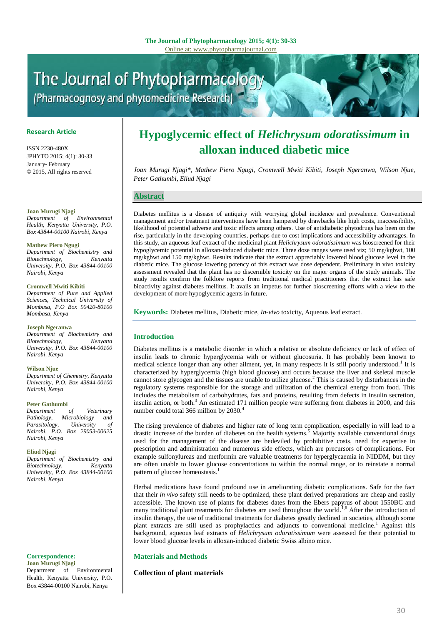# The Journal of Phytopharmacology (Pharmacognosy and phytomedicine Research)

# **Research Article**

ISSN 2230-480X JPHYTO 2015; 4(1): 30-33 January- February © 2015, All rights reserved

**Joan Murugi Njagi**

*Department of Environmental Health, Kenyatta University, P.O. Box 43844-00100 Nairobi, Kenya*

#### **Mathew Piero Ngugi**

*Department of Biochemistry and Biotechnology*. *University, P.O. Box 43844-00100 Nairobi, Kenya*

#### **Cromwell Mwiti Kibiti**

*Department of Pure and Applied Sciences, Technical University of Mombasa, P.O Box 90420-80100 Mombasa, Kenya*

#### **Joseph Ngeranwa**

*Department of Biochemistry and Biotechnology, Kenyatta University, P.O. Box 43844-00100 Nairobi, Kenya*

# **Wilson Njue**

*Department of Chemistry, Kenyatta University, P.O. Box 43844-00100 Nairobi, Kenya*

#### **Peter Gathumbi**

*Department of Veterinary Pathology, Microbiology and Parasitology, University of Nairobi, P.O. Box 29053-00625 Nairobi, Kenya*

# **Eliud Njagi**

*Department of Biochemistry and Biotechnology, Kenyatta University, P.O. Box 43844-00100 Nairobi, Kenya*

#### **Correspondence:**

**Joan Murugi Njagi** Department of Environmental Health, Kenyatta University, P.O. Box 43844-00100 Nairobi, Kenya

# **Hypoglycemic effect of** *Helichrysum odoratissimum* **in alloxan induced diabetic mice**

*Joan Murugi Njagi\*, Mathew Piero Ngugi, Cromwell Mwiti Kibiti, Joseph Ngeranwa, Wilson Njue, Peter Gathumbi, Eliud Njagi*

# **Abstract**

Diabetes mellitus is a disease of antiquity with worrying global incidence and prevalence. Conventional management and/or treatment interventions have been hampered by drawbacks like high costs, inaccessibility, likelihood of potential adverse and toxic effects among others. Use of antidiabetic phytodrugs has been on the rise, particularly in the developing countries, perhaps due to cost implications and accessibility advantages. In this study, an aqueous leaf extract of the medicinal plant *Helichrysum odoratissimum* was bioscreened for their hypoglycemic potential in alloxan-induced diabetic mice. Three dose ranges were used viz; 50 mg/kgbwt, 100 mg/kgbwt and 150 mg/kgbwt. Results indicate that the extract appreciably lowered blood glucose level in the diabetic mice. The glucose lowering potency of this extract was dose dependent. Preliminary in vivo toxicity assessment revealed that the plant has no discernible toxicity on the major organs of the study animals. The study results confirm the folklore reports from traditional medical practitioners that the extract has safe bioactivity against diabetes mellitus. It avails an impetus for further bioscreening efforts with a view to the development of more hypoglycemic agents in future.

**Keywords:** Diabetes mellitus, Diabetic mice, *In-vivo* toxicity, Aqueous leaf extract.

# **Introduction**

Diabetes mellitus is a metabolic disorder in which a relative or absolute deficiency or lack of effect of insulin leads to chronic hyperglycemia with or without glucosuria. It has probably been known to medical science longer than any other ailment, yet, in many respects it is still poorly understood.<sup>1</sup> It is characterized by hyperglycemia (high blood glucose) and occurs because the liver and skeletal muscle cannot store glycogen and the tissues are unable to utilize glucose.<sup>2</sup> This is caused by disturbances in the regulatory systems responsible for the storage and utilization of the chemical energy from food. This includes the metabolism of carbohydrates, fats and proteins, resulting from defects in insulin secretion, insulin action, or both. $3$  An estimated 171 million people were suffering from diabetes in 2000, and this number could total 366 million by 2030.<sup>4</sup>

The rising prevalence of diabetes and higher rate of long term complication, especially in will lead to a drastic increase of the burden of diabetes on the health systems.<sup>5</sup> Majority available conventional drugs used for the management of the disease are bedeviled by prohibitive costs, need for expertise in prescription and administration and numerous side effects, which are precursors of complications. For example sulfonylureas and metformin are valuable treatments for hyperglycaemia in NIDDM, but they are often unable to lower glucose concentrations to within the normal range, or to reinstate a normal pattern of glucose homeostasis.<sup>1</sup>

Herbal medications have found profound use in ameliorating diabetic complications. Safe for the fact that their *in vivo* safety still needs to be optimized, these plant derived preparations are cheap and easily accessible. The known use of plants for diabetes dates from the Ebers papyrus of about 1550BC and many traditional plant treatments for diabetes are used throughout the world.<sup>1,6</sup> After the introduction of insulin therapy, the use of traditional treatments for diabetes greatly declined in societies, although some plant extracts are still used as prophylactics and adjuncts to conventional medicine. <sup>1</sup> Against this background, aqueous leaf extracts of *Helichrysum odoratissimum* were assessed for their potential to lower blood glucose levels in alloxan-induced diabetic Swiss albino mice.

# **Materials and Methods**

# **Collection of plant materials**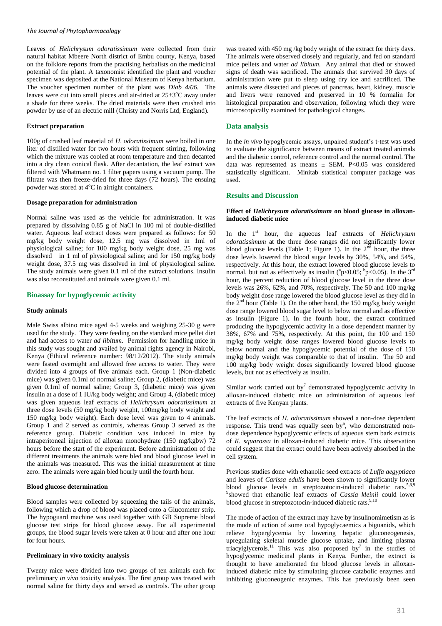Leaves of *Helichrysum odoratissimum* were collected from their natural habitat Mbeere North district of Embu county, Kenya, based on the folklore reports from the practising herbalists on the medicinal potential of the plant. A taxonomist identified the plant and voucher specimen was deposited at the National Museum of Kenya herbarium. The voucher specimen number of the plant was *Diab 4/06*. The leaves were cut into small pieces and air-dried at  $25\pm3^{\circ}$ C away under a shade for three weeks. The dried materials were then crushed into powder by use of an electric mill (Christy and Norris Ltd, England).

#### **Extract preparation**

100g of crushed leaf material of *H*. *odoratissimum* were boiled in one liter of distilled water for two hours with frequent stirring, following which the mixture was cooled at room temperature and then decanted into a dry clean conical flask. After decantation, the leaf extract was filtered with Whatmann no. 1 filter papers using a vacuum pump. The filtrate was then freeze-dried for three days (72 hours). The ensuing powder was stored at 4°C in airtight containers.

#### **Dosage preparation for administration**

Normal saline was used as the vehicle for administration. It was prepared by dissolving 0.85 g of NaCl in 100 ml of double-distilled water. Aqueous leaf extract doses were prepared as follows: for 50 mg/kg body weight dose, 12.5 mg was dissolved in 1ml of physiological saline; for 100 mg/kg body weight dose, 25 mg was dissolved in 1 ml of physiological saline; and for 150 mg/kg body weight dose, 37.5 mg was dissolved in 1ml of physiological saline. The study animals were given 0.1 ml of the extract solutions. Insulin was also reconstituted and animals were given 0.1 ml.

#### **Bioassay for hypoglycemic activity**

#### **Study animals**

Male Swiss albino mice aged 4-5 weeks and weighing 25-30 g were used for the study. They were feeding on the standard mice pellet diet and had access to water *ad libitum*. Permission for handling mice in this study was sought and availed by animal rights agency in Nairobi, Kenya (Ethical reference number: 98/12/2012). The study animals were fasted overnight and allowed free access to water. They were divided into 4 groups of five animals each. Group 1 (Non-diabetic mice) was given 0.1ml of normal saline; Group 2, (diabetic mice) was given 0.1ml of normal saline; Group 3, (diabetic mice) was given insulin at a dose of 1 IU/kg body weight; and Group 4, (diabetic mice) was given aqueous leaf extracts of *Helichrysum odoratissimum* at three dose levels (50 mg/kg body weight, 100mg/kg body weight and 150 mg/kg body weight). Each dose level was given to 4 animals. Group 1 and 2 served as controls, whereas Group 3 served as the reference group. Diabetic condition was induced in mice by intraperitoneal injection of alloxan monohydrate (150 mg/kgbw) 72 hours before the start of the experiment. Before administration of the different treatments the animals were bled and blood glucose level in the animals was measured. This was the initial measurement at time zero. The animals were again bled hourly until the fourth hour.

# **Blood glucose determination**

Blood samples were collected by squeezing the tails of the animals, following which a drop of blood was placed onto a Glucometer strip. The hypoguard machine was used together with GB Supreme blood glucose test strips for blood glucose assay. For all experimental groups, the blood sugar levels were taken at 0 hour and after one hour for four hours.

# **Preliminary in vivo toxicity analysis**

Twenty mice were divided into two groups of ten animals each for preliminary *in vivo* toxicity analysis. The first group was treated with normal saline for thirty days and served as controls. The other group

was treated with 450 mg /kg body weight of the extract for thirty days. The animals were observed closely and regularly, and fed on standard mice pellets and water *ad libitum*. Any animal that died or showed signs of death was sacrificed. The animals that survived 30 days of administration were put to sleep using dry ice and sacrificed. The animals were dissected and pieces of pancreas, heart, kidney, muscle and livers were removed and preserved in 10 % formalin for histological preparation and observation, following which they were microscopically examined for pathological changes.

#### **Data analysis**

In the *in vivo* hypoglycemic assays, unpaired student's t-test was used to evaluate the significance between means of extract treated animals and the diabetic control, reference control and the normal control. The data was represented as means  $\pm$  SEM. P<0.05 was considered statistically significant. Minitab statistical computer package was used.

#### **Results and Discussion**

# **Effect of** *Helichrysum odoratissimum* **on blood glucose in alloxaninduced diabetic mice**

In the 1st hour, the aqueous leaf extracts of *Helichrysum odoratissimum* at the three dose ranges did not significantly lower blood glucose levels (Table 1; Figure 1). In the  $2<sup>nd</sup>$  hour, the three dose levels lowered the blood sugar levels by 30%, 54%, and 54%, respectively. At this hour, the extract lowered blood glucose levels to normal, but not as effectively as insulin ( $^{a}p<0.05$ ;  $^{b}p<0.05$ ). In the 3<sup>rd</sup> hour, the percent reduction of blood glucose level in the three dose levels was 26%, 62%, and 70%, respectively. The 50 and 100 mg/kg body weight dose range lowered the blood glucose level as they did in the  $2<sup>nd</sup>$  hour (Table 1). On the other hand, the 150 mg/kg body weight dose range lowered blood sugar level to below normal and as effective as insulin (Figure 1). In the fourth hour, the extract continued producing the hypoglycemic activity in a dose dependent manner by 38%, 67% and 75%, respectively. At this point, the 100 and 150 mg/kg body weight dose ranges lowered blood glucose levels to below normal and the hypoglycemic potential of the dose of 150 mg/kg body weight was comparable to that of insulin. The 50 and 100 mg/kg body weight doses significantly lowered blood glucose levels, but not as effectively as insulin.

Similar work carried out by<sup>7</sup> demonstrated hypoglycemic activity in alloxan-induced diabetic mice on administration of aqueous leaf extracts of five Kenyan plants*.* 

The leaf extracts of *H. odoratissimum* showed a non-dose dependent response. This trend was equally seen by<sup>5</sup>, who demonstrated nondose dependence hypoglycemic effects of aqueous stem bark extracts of *K. squarossa* in alloxan-induced diabetic mice. This observation could suggest that the extract could have been actively absorbed in the cell system.

Previous studies done with ethanolic seed extracts of *Luffa aegyptiaca* and leaves of *Carissa edulis* have been shown to significantly lower blood glucose levels in streptozotocin-induced diabetic rats.<sup>5,8,9</sup> 9 showed that ethanolic leaf extracts of *Cassia kleinii* could lower blood glucose in streptozotocin-induced diabetic rats.<sup>9,10</sup>

The mode of action of the extract may have by insulinomimetism as is the mode of action of some oral hypoglycaemics a biguanids, which relieve hyperglycemia by lowering hepatic gluconeogenesis, upregulating skeletal muscle glucose uptake, and limiting plasma triacylglycerols.<sup>11</sup> This was also proposed by<sup>7</sup> in the studies of hypoglycemic medicinal plants in Kenya. Further, the extract is thought to have ameliorated the blood glucose levels in alloxaninduced diabetic mice by stimulating glucose catabolic enzymes and inhibiting gluconeogenic enzymes. This has previously been seen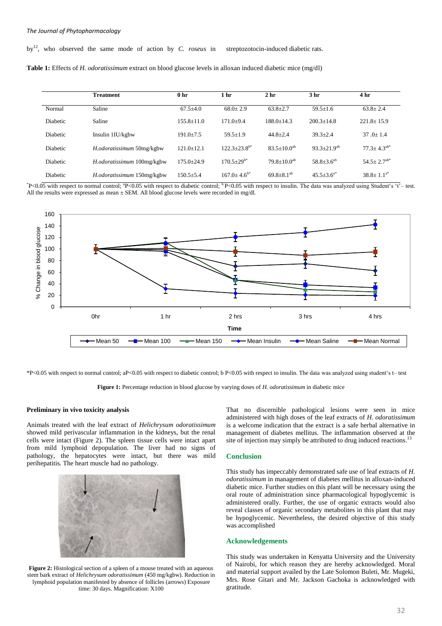by<sup>12</sup>, who observed the same mode of action by *C. roseus* in streptozotocin-induced diabetic rats.

|  | Table 1: Effects of <i>H. odoratissimum</i> extract on blood glucose levels in alloxan induced diabetic mice (mg/dl) |  |  |  |  |  |
|--|----------------------------------------------------------------------------------------------------------------------|--|--|--|--|--|
|  |                                                                                                                      |  |  |  |  |  |

|                 | <b>Treatment</b>                  | 0 <sub>hr</sub> | 1 <sub>hr</sub>      | 2 <sub>hr</sub>     | 3 <sub>hr</sub>      | 4 <sub>hr</sub>               |
|-----------------|-----------------------------------|-----------------|----------------------|---------------------|----------------------|-------------------------------|
| Normal          | Saline                            | $67.5 + 4.0$    | $68.0 + 2.9$         | $63.8 + 2.7$        | $59.5 + 1.6$         | $63.8 \pm 2.4$                |
| <b>Diabetic</b> | Saline                            | $155.8 + 11.0$  | $171.0 + 9.4$        | $188.0 + 14.3$      | $200.3 + 14.8$       | $221.8 + 15.9$                |
| <b>Diabetic</b> | Insulin $1\text{I}U/\text{kg}$ bw | $191.0 + 7.5$   | $59.5 + 1.9$         | $44.8 + 2.4$        | $39.3 + 2.4$         | $37.0 + 1.4$                  |
| <b>Diabetic</b> | H.odoratissimum 50mg/kgbw         | $121.0 + 12.1$  | $122.3+23.8^{b*}$    | $83.5+10.0^{ab}$    | $93.3 \pm 21.9^{ab}$ | $77.3 \pm 4.3^{ab*}$          |
| <b>Diabetic</b> | H.odoratissimum 100mg/kgbw        | $175.0 + 24.9$  | $170.5+29^{b*}$      | $79.8 + 10.0^{ab}$  | $58.8 \pm 3.6^{ab}$  | $54.5 \pm 2.7$ <sup>ab*</sup> |
| Diabetic        | H.odoratissimum 150mg/kgbw        | $150.5 + 5.4$   | $167.0 \pm 4.6^{b*}$ | $69.8 \pm 8.1^{ab}$ | $45.5 + 3.6^{a*}$    | $38.8 + 1.1^{a*}$             |

\*P<0.05 with respect to normal control; \*P<0.05 with respect to diabetic control; \*P<0.05 with respect to insulin. The data was analyzed using Student's 't'– test. All the results were expressed as mean ± SEM. All blood glucose levels were recorded in mg/dl.



\*P<0.05 with respect to normal control; aP<0.05 with respect to diabetic control; b P<0.05 with respect to insulin. The data was analyzed using student's t– test

**Figure 1:** Percentage reduction in blood glucose by varying doses of *H. odoratissimum* in diabetic mice

#### **Preliminary in vivo toxicity analysis**

Animals treated with the leaf extract of *Helichrysum odoratissimum* showed mild perivascular inflammation in the kidneys, but the renal cells were intact (Figure 2). The spleen tissue cells were intact apart from mild lymphoid depopulation. The liver had no signs of pathology, the hepatocytes were intact, but there was mild perihepatitis. The heart muscle had no pathology.



**Figure 2:** Histological section of a spleen of a mouse treated with an aqueous stem bark extract of *Helichrysum odoratissimum* (450 mg/kgbw). Reduction in lymphoid population manifested by absence of follicles (arrows) Exposure time: 30 days. Magnification: X100

That no discernible pathological lesions were seen in mice administered with high doses of the leaf extracts of *H. odoratissimum*  is a welcome indication that the extract is a safe herbal alternative in management of diabetes mellitus. The inflammation observed at the site of injection may simply be attributed to drug induced reactions.<sup>13</sup>

#### **Conclusion**

This study has impeccably demonstrated safe use of leaf extracts of *H. odoratissimum* in management of diabetes mellitus in alloxan-induced diabetic mice. Further studies on this plant will be necessary using the oral route of administration since pharmacological hypoglycemic is administered orally. Further, the use of organic extracts would also reveal classes of organic secondary metabolites in this plant that may be hypoglycemic. Nevertheless, the desired objective of this study was accomplished

# **Acknowledgements**

This study was undertaken in Kenyatta University and the University of Nairobi, for which reason they are hereby acknowledged. Moral and material support availed by the Late Solomon Buleti, Mr. Mugeki, Mrs. Rose Gitari and Mr. Jackson Gachoka is acknowledged with gratitude.